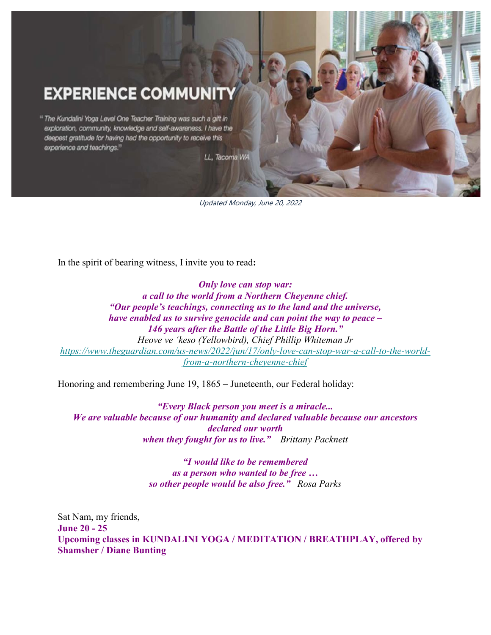# **EXPERIENCE COMMUNIT**

<sup>14</sup> The Kundalini Yoga Level One Teacher Training was such a gift in exploration, community, knowledge and self-awareness. I have the deepest gratitude for having had the opportunity to receive this experience and teachings."

LL, Tacoma WA

Updated Monday, June 20, 2022

In the spirit of bearing witness, I invite you to read**:**

*Only love can stop war: a call to the world from a Northern Cheyenne chief. "Our people's teachings, connecting us to the land and the universe, have enabled us to survive genocide and can point the way to peace – 146 years after the Battle of the Little Big Horn." Heove ve 'keso (Yellowbird), Chief Phillip Whiteman Jr [https://www.theguardian.com/us-news/2022/jun/17/only-love-can-stop-war-a-call-to-the-world](https://gmail.us20.list-manage.com/track/click?u=7d26fa5c6408e633cf42b2bd3&id=b6183ad9ce&e=f315cbb779)[from-a-northern-cheyenne-chief](https://gmail.us20.list-manage.com/track/click?u=7d26fa5c6408e633cf42b2bd3&id=b6183ad9ce&e=f315cbb779)*

Honoring and remembering June 19, 1865 – Juneteenth, our Federal holiday:

*"Every Black person you meet is a miracle... We are valuable because of our humanity and declared valuable because our ancestors declared our worth when they fought for us to live." Brittany Packnett*

> *"I would like to be remembered as a person who wanted to be free … so other people would be also free." Rosa Parks*

Sat Nam, my friends, **June 20 - 25 Upcoming classes in KUNDALINI YOGA / MEDITATION / BREATHPLAY, offered by Shamsher / Diane Bunting**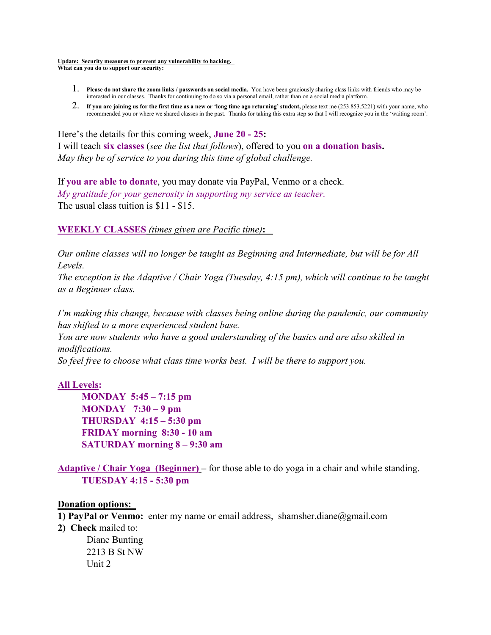**Update: Security measures to prevent any vulnerability to hacking. What can you do to support our security:**

- 1. **Please do not share the zoom links / passwords on social media.** You have been graciously sharing class links with friends who may be interested in our classes. Thanks for continuing to do so via a personal email, rather than on a social media platform.
- 2. **If you are joining us for the first time as a new or 'long time ago returning' student,** please text me (253.853.5221) with your name, who recommended you or where we shared classes in the past. Thanks for taking this extra step so that I will recognize you in the 'waiting room'.

Here's the details for this coming week, **June 20 - 25:**  I will teach **six classes** (*see the list that follows*), offered to you **on a donation basis.**  *May they be of service to you during this time of global challenge.* 

If **you are able to donate**, you may donate via PayPal, Venmo or a check. *My gratitude for your generosity in supporting my service as teacher.*  The usual class tuition is \$11 - \$15.

## **WEEKLY CLASSES** *(times given are Pacific time)***:**

*Our online classes will no longer be taught as Beginning and Intermediate, but will be for All Levels.*

*The exception is the Adaptive / Chair Yoga (Tuesday, 4:15 pm), which will continue to be taught as a Beginner class.* 

*I'm making this change, because with classes being online during the pandemic, our community has shifted to a more experienced student base.* 

*You are now students who have a good understanding of the basics and are also skilled in modifications.* 

*So feel free to choose what class time works best. I will be there to support you.* 

## **All Levels:**

 **MONDAY 5:45 – 7:15 pm MONDAY 7:30 – 9 pm THURSDAY 4:15 – 5:30 pm FRIDAY morning 8:30 - 10 am SATURDAY morning 8 – 9:30 am**

**Adaptive / Chair Yoga (Beginner) –** for those able to do yoga in a chair and while standing.  **TUESDAY 4:15 - 5:30 pm**

#### **Donation options:**

- **1) PayPal or Venmo:** enter my name or email address, shamsher.diane@gmail.com
- **2) Check** mailed to:

 Diane Bunting 2213 B St NW Unit 2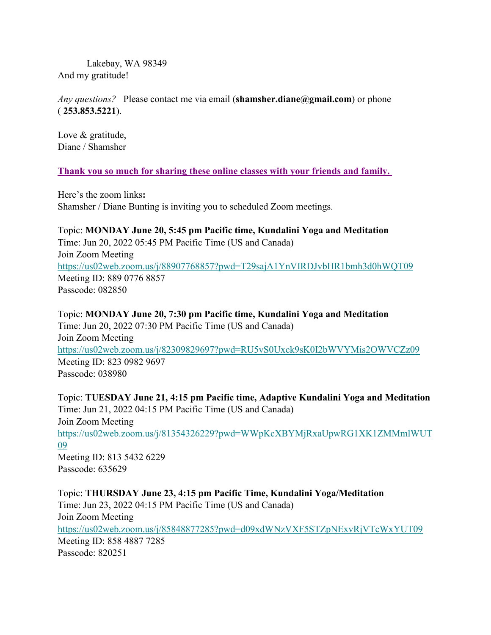Lakebay, WA 98349 And my gratitude!

*Any questions?* Please contact me via email (**shamsher.diane@gmail.com**) or phone ( **253.853.5221**).

Love & gratitude, Diane / Shamsher

#### **Thank you so much for sharing these online classes with your friends and family.**

Here's the zoom links**:**  Shamsher / Diane Bunting is inviting you to scheduled Zoom meetings.

Topic: **MONDAY June 20, 5:45 pm Pacific time, Kundalini Yoga and Meditation** Time: Jun 20, 2022 05:45 PM Pacific Time (US and Canada) Join Zoom Meeting [https://us02web.zoom.us/j/88907768857?pwd=T29sajA1YnVIRDJvbHR1bmh3d0hWQT09](https://gmail.us20.list-manage.com/track/click?u=7d26fa5c6408e633cf42b2bd3&id=949a86d46b&e=f315cbb779) Meeting ID: 889 0776 8857 Passcode: 082850

Topic: **MONDAY June 20, 7:30 pm Pacific time, Kundalini Yoga and Meditation** Time: Jun 20, 2022 07:30 PM Pacific Time (US and Canada) Join Zoom Meeting [https://us02web.zoom.us/j/82309829697?pwd=RU5vS0Uxck9sK0I2bWVYMis2OWVCZz09](https://gmail.us20.list-manage.com/track/click?u=7d26fa5c6408e633cf42b2bd3&id=5492ee4463&e=f315cbb779) Meeting ID: 823 0982 9697 Passcode: 038980

Topic: **TUESDAY June 21, 4:15 pm Pacific time, Adaptive Kundalini Yoga and Meditation**  Time: Jun 21, 2022 04:15 PM Pacific Time (US and Canada) Join Zoom Meeting [https://us02web.zoom.us/j/81354326229?pwd=WWpKcXBYMjRxaUpwRG1XK1ZMMmlWUT](https://gmail.us20.list-manage.com/track/click?u=7d26fa5c6408e633cf42b2bd3&id=a97cd85473&e=f315cbb779) [09](https://gmail.us20.list-manage.com/track/click?u=7d26fa5c6408e633cf42b2bd3&id=a97cd85473&e=f315cbb779) Meeting ID: 813 5432 6229 Passcode: 635629

Topic: **THURSDAY June 23, 4:15 pm Pacific Time, Kundalini Yoga/Meditation** Time: Jun 23, 2022 04:15 PM Pacific Time (US and Canada) Join Zoom Meeting [https://us02web.zoom.us/j/85848877285?pwd=d09xdWNzVXF5STZpNExvRjVTcWxYUT09](https://gmail.us20.list-manage.com/track/click?u=7d26fa5c6408e633cf42b2bd3&id=4d1d016f09&e=f315cbb779) Meeting ID: 858 4887 7285 Passcode: 820251